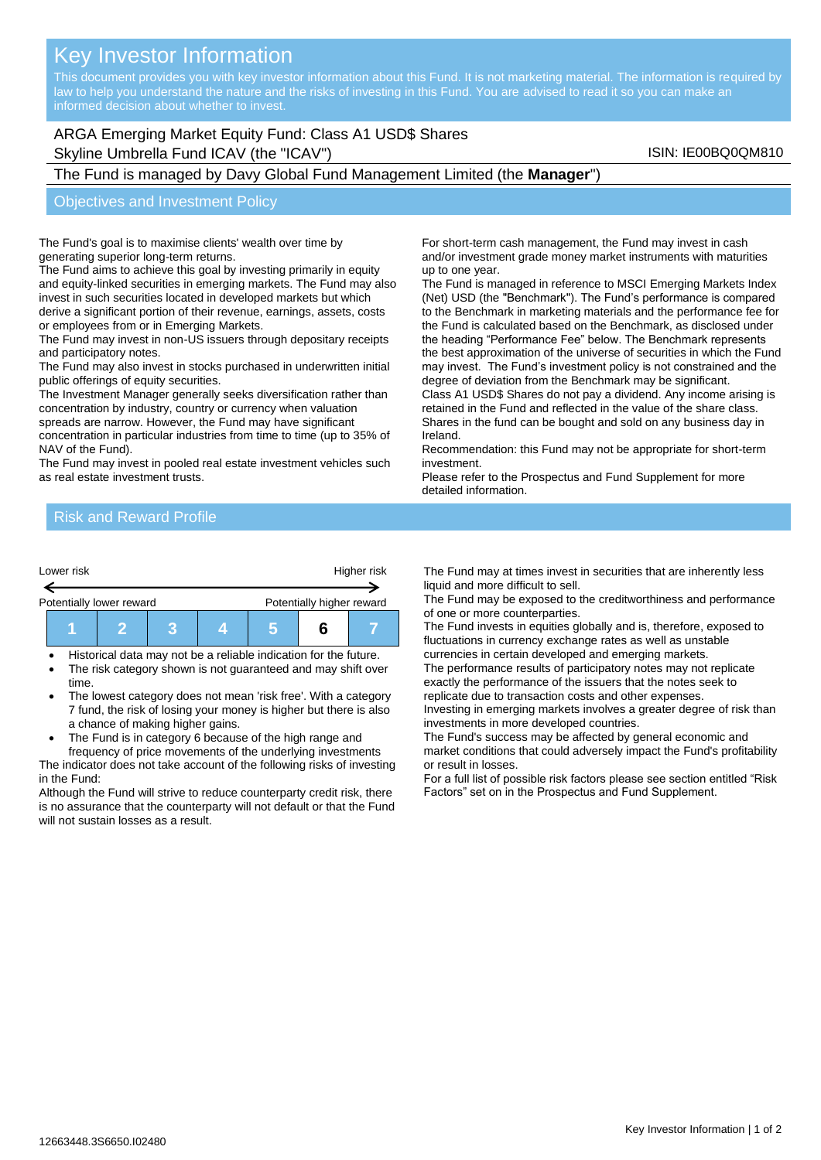# Key Investor Information

This document provides you with key investor information about this Fund. It is not marketing material. The information is required by law to help you understand the nature and the risks of investing in this Fund. You are advised to read it so you can make an

## ARGA Emerging Market Equity Fund: Class A1 USD\$ Shares Skyline Umbrella Fund ICAV (the "ICAV") Skyline Umbrella Fund ICAV (the "ICAV")

The Fund is managed by Davy Global Fund Management Limited (the **Manager**")

#### Objectives and Investment Policy

The Fund's goal is to maximise clients' wealth over time by generating superior long-term returns.

The Fund aims to achieve this goal by investing primarily in equity and equity-linked securities in emerging markets. The Fund may also invest in such securities located in developed markets but which derive a significant portion of their revenue, earnings, assets, costs or employees from or in Emerging Markets.

The Fund may invest in non-US issuers through depositary receipts and participatory notes.

The Fund may also invest in stocks purchased in underwritten initial public offerings of equity securities.

The Investment Manager generally seeks diversification rather than concentration by industry, country or currency when valuation spreads are narrow. However, the Fund may have significant

concentration in particular industries from time to time (up to 35% of NAV of the Fund).

The Fund may invest in pooled real estate investment vehicles such as real estate investment trusts.

For short-term cash management, the Fund may invest in cash and/or investment grade money market instruments with maturities up to one year.

The Fund is managed in reference to MSCI Emerging Markets Index (Net) USD (the "Benchmark"). The Fund's performance is compared to the Benchmark in marketing materials and the performance fee for the Fund is calculated based on the Benchmark, as disclosed under the heading "Performance Fee" below. The Benchmark represents the best approximation of the universe of securities in which the Fund may invest. The Fund's investment policy is not constrained and the degree of deviation from the Benchmark may be significant.

Class A1 USD\$ Shares do not pay a dividend. Any income arising is retained in the Fund and reflected in the value of the share class. Shares in the fund can be bought and sold on any business day in Ireland.

Recommendation: this Fund may not be appropriate for short-term investment.

Please refer to the Prospectus and Fund Supplement for more detailed information.

### Risk and Reward Profile

| Lower risk |                          |  | Higher risk |                           |  |  |
|------------|--------------------------|--|-------------|---------------------------|--|--|
|            | Potentially lower reward |  |             | Potentially higher reward |  |  |
|            |                          |  |             |                           |  |  |

• Historical data may not be a reliable indication for the future.

- The risk category shown is not guaranteed and may shift over time.
- The lowest category does not mean 'risk free'. With a category 7 fund, the risk of losing your money is higher but there is also a chance of making higher gains.
- The Fund is in category 6 because of the high range and

frequency of price movements of the underlying investments The indicator does not take account of the following risks of investing in the Fund:

Although the Fund will strive to reduce counterparty credit risk, there is no assurance that the counterparty will not default or that the Fund will not sustain losses as a result.

The Fund may at times invest in securities that are inherently less liquid and more difficult to sell.

The Fund may be exposed to the creditworthiness and performance of one or more counterparties.

The Fund invests in equities globally and is, therefore, exposed to fluctuations in currency exchange rates as well as unstable currencies in certain developed and emerging markets.

The performance results of participatory notes may not replicate exactly the performance of the issuers that the notes seek to replicate due to transaction costs and other expenses.

Investing in emerging markets involves a greater degree of risk than investments in more developed countries.

The Fund's success may be affected by general economic and market conditions that could adversely impact the Fund's profitability or result in losses.

For a full list of possible risk factors please see section entitled "Risk Factors" set on in the Prospectus and Fund Supplement.